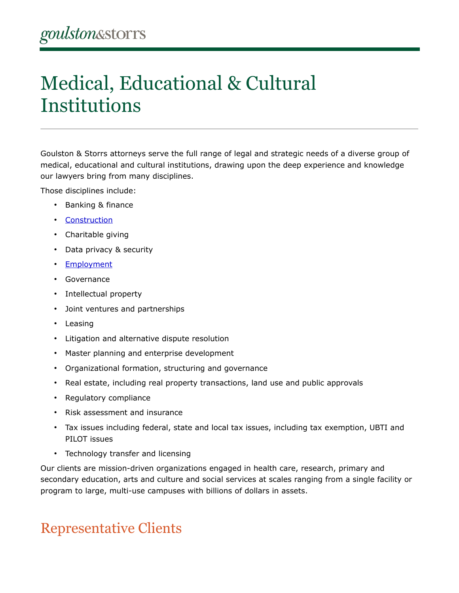# Medical, Educational & Cultural Institutions

Goulston & Storrs attorneys serve the full range of legal and strategic needs of a diverse group of medical, educational and cultural institutions, drawing upon the deep experience and knowledge our lawyers bring from many disciplines.

Those disciplines include:

- Banking & finance
- [Construction](https://www.goulstonstorrs.com/construction/)
- Charitable giving
- Data privacy & security
- [Employment](https://www.goulstonstorrs.com/employment/)
- Governance
- Intellectual property
- Joint ventures and partnerships
- Leasing
- Litigation and alternative dispute resolution
- Master planning and enterprise development
- Organizational formation, structuring and governance
- Real estate, including real property transactions, land use and public approvals
- Regulatory compliance
- Risk assessment and insurance
- Tax issues including federal, state and local tax issues, including tax exemption, UBTI and PILOT issues
- Technology transfer and licensing

Our clients are mission-driven organizations engaged in health care, research, primary and secondary education, arts and culture and social services at scales ranging from a single facility or program to large, multi-use campuses with billions of dollars in assets.

# Representative Clients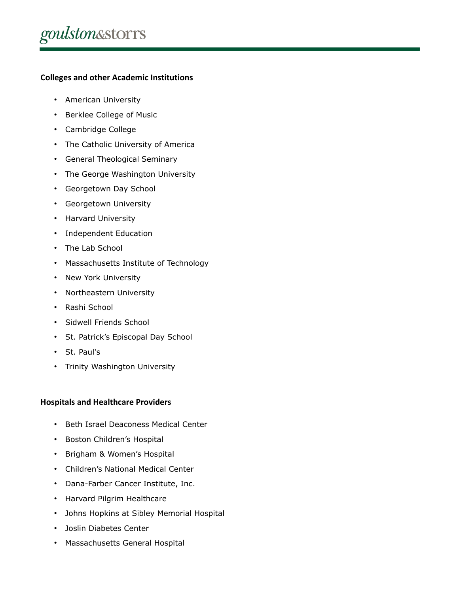# **Colleges and other Academic Institutions**

- American University
- Berklee College of Music
- Cambridge College
- The Catholic University of America
- General Theological Seminary
- The George Washington University
- Georgetown Day School
- Georgetown University
- Harvard University
- Independent Education
- The Lab School
- Massachusetts Institute of Technology
- New York University
- Northeastern University
- Rashi School
- Sidwell Friends School
- St. Patrick's Episcopal Day School
- St. Paul's
- Trinity Washington University

# **Hospitals and Healthcare Providers**

- Beth Israel Deaconess Medical Center
- Boston Children's Hospital
- Brigham & Women's Hospital
- Children's National Medical Center
- Dana-Farber Cancer Institute, Inc.
- Harvard Pilgrim Healthcare
- Johns Hopkins at Sibley Memorial Hospital
- Joslin Diabetes Center
- Massachusetts General Hospital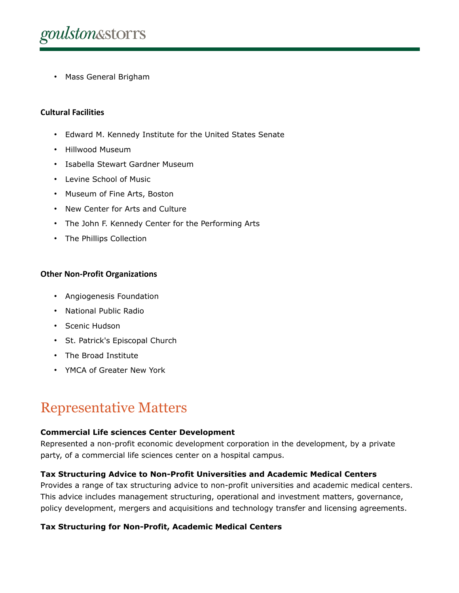

• Mass General Brigham

#### **Cultural Facilities**

- Edward M. Kennedy Institute for the United States Senate
- Hillwood Museum
- Isabella Stewart Gardner Museum
- Levine School of Music
- Museum of Fine Arts, Boston
- New Center for Arts and Culture
- The John F. Kennedy Center for the Performing Arts
- The Phillips Collection

#### **Other Non-Profit Organizations**

- Angiogenesis Foundation
- National Public Radio
- Scenic Hudson
- St. Patrick's Episcopal Church
- The Broad Institute
- YMCA of Greater New York

# Representative Matters

#### **Commercial Life sciences Center Development**

Represented a non-profit economic development corporation in the development, by a private party, of a commercial life sciences center on a hospital campus.

# **Tax Structuring Advice to Non-Profit Universities and Academic Medical Centers**

Provides a range of tax structuring advice to non-profit universities and academic medical centers. This advice includes management structuring, operational and investment matters, governance, policy development, mergers and acquisitions and technology transfer and licensing agreements.

# **Tax Structuring for Non-Profit, Academic Medical Centers**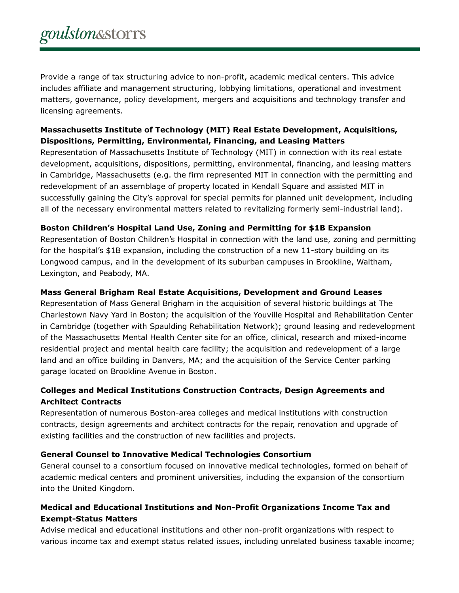Provide a range of tax structuring advice to non-profit, academic medical centers. This advice includes affiliate and management structuring, lobbying limitations, operational and investment matters, governance, policy development, mergers and acquisitions and technology transfer and licensing agreements.

# **Massachusetts Institute of Technology (MIT) Real Estate Development, Acquisitions, Dispositions, Permitting, Environmental, Financing, and Leasing Matters**

Representation of Massachusetts Institute of Technology (MIT) in connection with its real estate development, acquisitions, dispositions, permitting, environmental, financing, and leasing matters in Cambridge, Massachusetts (e.g. the firm represented MIT in connection with the permitting and redevelopment of an assemblage of property located in Kendall Square and assisted MIT in successfully gaining the City's approval for special permits for planned unit development, including all of the necessary environmental matters related to revitalizing formerly semi-industrial land).

# **Boston Children's Hospital Land Use, Zoning and Permitting for \$1B Expansion**

Representation of Boston Children's Hospital in connection with the land use, zoning and permitting for the hospital's \$1B expansion, including the construction of a new 11-story building on its Longwood campus, and in the development of its suburban campuses in Brookline, Waltham, Lexington, and Peabody, MA.

# **Mass General Brigham Real Estate Acquisitions, Development and Ground Leases**

Representation of Mass General Brigham in the acquisition of several historic buildings at The Charlestown Navy Yard in Boston; the acquisition of the Youville Hospital and Rehabilitation Center in Cambridge (together with Spaulding Rehabilitation Network); ground leasing and redevelopment of the Massachusetts Mental Health Center site for an office, clinical, research and mixed-income residential project and mental health care facility; the acquisition and redevelopment of a large land and an office building in Danvers, MA; and the acquisition of the Service Center parking garage located on Brookline Avenue in Boston.

# **Colleges and Medical Institutions Construction Contracts, Design Agreements and Architect Contracts**

Representation of numerous Boston-area colleges and medical institutions with construction contracts, design agreements and architect contracts for the repair, renovation and upgrade of existing facilities and the construction of new facilities and projects.

# **General Counsel to Innovative Medical Technologies Consortium**

General counsel to a consortium focused on innovative medical technologies, formed on behalf of academic medical centers and prominent universities, including the expansion of the consortium into the United Kingdom.

# **Medical and Educational Institutions and Non-Profit Organizations Income Tax and Exempt-Status Matters**

Advise medical and educational institutions and other non-profit organizations with respect to various income tax and exempt status related issues, including unrelated business taxable income;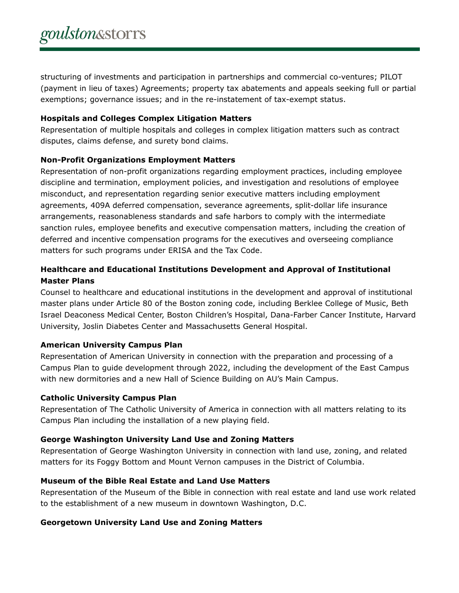structuring of investments and participation in partnerships and commercial co-ventures; PILOT (payment in lieu of taxes) Agreements; property tax abatements and appeals seeking full or partial exemptions; governance issues; and in the re-instatement of tax-exempt status.

### **Hospitals and Colleges Complex Litigation Matters**

Representation of multiple hospitals and colleges in complex litigation matters such as contract disputes, claims defense, and surety bond claims.

# **Non-Profit Organizations Employment Matters**

Representation of non-profit organizations regarding employment practices, including employee discipline and termination, employment policies, and investigation and resolutions of employee misconduct, and representation regarding senior executive matters including employment agreements, 409A deferred compensation, severance agreements, split-dollar life insurance arrangements, reasonableness standards and safe harbors to comply with the intermediate sanction rules, employee benefits and executive compensation matters, including the creation of deferred and incentive compensation programs for the executives and overseeing compliance matters for such programs under ERISA and the Tax Code.

# **Healthcare and Educational Institutions Development and Approval of Institutional Master Plans**

Counsel to healthcare and educational institutions in the development and approval of institutional master plans under Article 80 of the Boston zoning code, including Berklee College of Music, Beth Israel Deaconess Medical Center, Boston Children's Hospital, Dana-Farber Cancer Institute, Harvard University, Joslin Diabetes Center and Massachusetts General Hospital.

# **American University Campus Plan**

Representation of American University in connection with the preparation and processing of a Campus Plan to guide development through 2022, including the development of the East Campus with new dormitories and a new Hall of Science Building on AU's Main Campus.

# **Catholic University Campus Plan**

Representation of The Catholic University of America in connection with all matters relating to its Campus Plan including the installation of a new playing field.

# **George Washington University Land Use and Zoning Matters**

Representation of George Washington University in connection with land use, zoning, and related matters for its Foggy Bottom and Mount Vernon campuses in the District of Columbia.

# **Museum of the Bible Real Estate and Land Use Matters**

Representation of the Museum of the Bible in connection with real estate and land use work related to the establishment of a new museum in downtown Washington, D.C.

# **Georgetown University Land Use and Zoning Matters**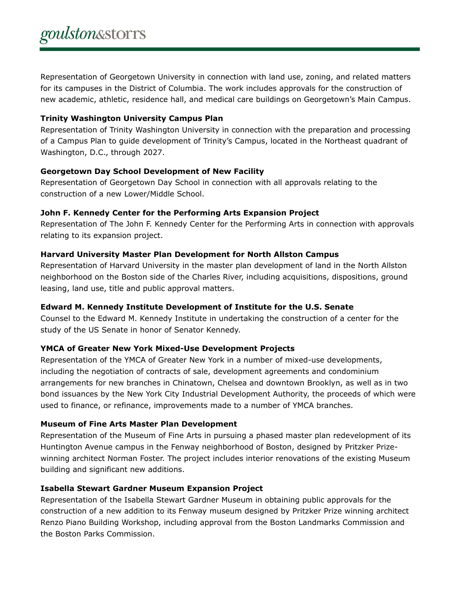Representation of Georgetown University in connection with land use, zoning, and related matters for its campuses in the District of Columbia. The work includes approvals for the construction of new academic, athletic, residence hall, and medical care buildings on Georgetown's Main Campus.

#### **Trinity Washington University Campus Plan**

Representation of Trinity Washington University in connection with the preparation and processing of a Campus Plan to guide development of Trinity's Campus, located in the Northeast quadrant of Washington, D.C., through 2027.

# **Georgetown Day School Development of New Facility**

Representation of Georgetown Day School in connection with all approvals relating to the construction of a new Lower/Middle School.

#### **John F. Kennedy Center for the Performing Arts Expansion Project**

Representation of The John F. Kennedy Center for the Performing Arts in connection with approvals relating to its expansion project.

#### **Harvard University Master Plan Development for North Allston Campus**

Representation of Harvard University in the master plan development of land in the North Allston neighborhood on the Boston side of the Charles River, including acquisitions, dispositions, ground leasing, land use, title and public approval matters.

# **Edward M. Kennedy Institute Development of Institute for the U.S. Senate**

Counsel to the Edward M. Kennedy Institute in undertaking the construction of a center for the study of the US Senate in honor of Senator Kennedy.

# **YMCA of Greater New York Mixed-Use Development Projects**

Representation of the YMCA of Greater New York in a number of mixed-use developments, including the negotiation of contracts of sale, development agreements and condominium arrangements for new branches in Chinatown, Chelsea and downtown Brooklyn, as well as in two bond issuances by the New York City Industrial Development Authority, the proceeds of which were used to finance, or refinance, improvements made to a number of YMCA branches.

# **Museum of Fine Arts Master Plan Development**

Representation of the Museum of Fine Arts in pursuing a phased master plan redevelopment of its Huntington Avenue campus in the Fenway neighborhood of Boston, designed by Pritzker Prizewinning architect Norman Foster. The project includes interior renovations of the existing Museum building and significant new additions.

# **Isabella Stewart Gardner Museum Expansion Project**

Representation of the Isabella Stewart Gardner Museum in obtaining public approvals for the construction of a new addition to its Fenway museum designed by Pritzker Prize winning architect Renzo Piano Building Workshop, including approval from the Boston Landmarks Commission and the Boston Parks Commission.